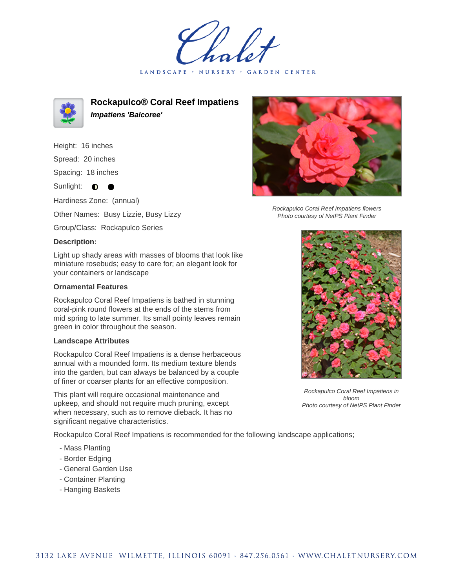LANDSCAPE · NURSERY GARDEN CENTER



**Rockapulco® Coral Reef Impatiens Impatiens 'Balcoree'**

Height: 16 inches

Spread: 20 inches

Spacing: 18 inches

Sunlight:  $\bullet$  $\bullet$ 

Hardiness Zone: (annual)

Other Names: Busy Lizzie, Busy Lizzy

Group/Class: Rockapulco Series

## **Description:**

Light up shady areas with masses of blooms that look like miniature rosebuds; easy to care for; an elegant look for your containers or landscape

## **Ornamental Features**

Rockapulco Coral Reef Impatiens is bathed in stunning coral-pink round flowers at the ends of the stems from mid spring to late summer. Its small pointy leaves remain green in color throughout the season.

## **Landscape Attributes**

Rockapulco Coral Reef Impatiens is a dense herbaceous annual with a mounded form. Its medium texture blends into the garden, but can always be balanced by a couple of finer or coarser plants for an effective composition.

This plant will require occasional maintenance and upkeep, and should not require much pruning, except when necessary, such as to remove dieback. It has no significant negative characteristics.

Rockapulco Coral Reef Impatiens is recommended for the following landscape applications;

- Mass Planting
- Border Edging
- General Garden Use
- Container Planting
- Hanging Baskets



Rockapulco Coral Reef Impatiens flowers Photo courtesy of NetPS Plant Finder



Rockapulco Coral Reef Impatiens in bloom Photo courtesy of NetPS Plant Finder